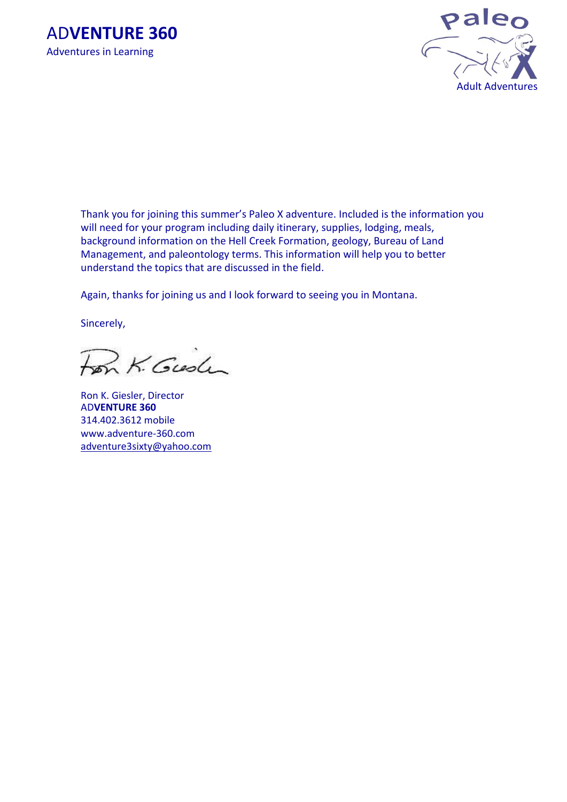



Thank you for joining this summer's Paleo X adventure. Included is the information you will need for your program including daily itinerary, supplies, lodging, meals, background information on the Hell Creek Formation, geology, Bureau of Land Management, and paleontology terms. This information will help you to better understand the topics that are discussed in the field.

Again, thanks for joining us and I look forward to seeing you in Montana.

Sincerely,

Fon K. Gush

Ron K. Giesler, Director AD**VENTURE 360** 314.402.3612 mobile www.adventure-360.com adventure3sixty@yahoo.com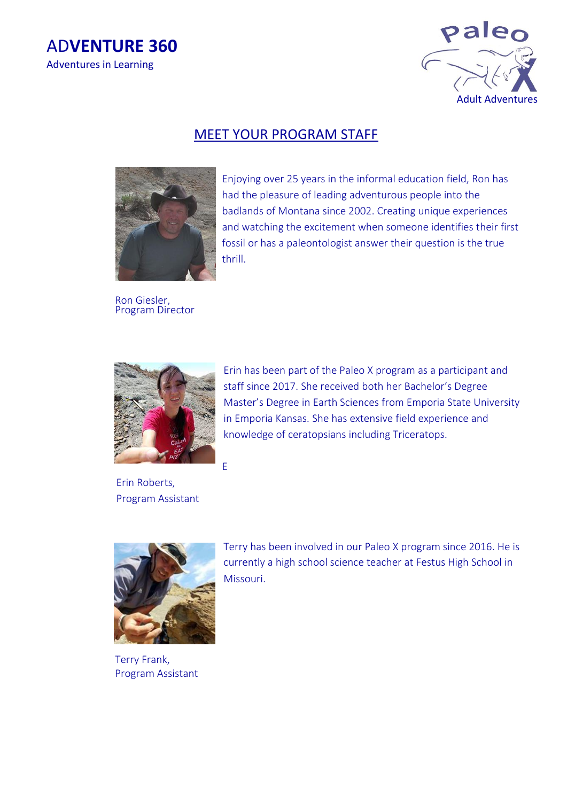



## MEET YOUR PROGRAM STAFF



Enjoying over 25 years in the informal education field, Ron has had the pleasure of leading adventurous people into the badlands of Montana since 2002. Creating unique experiences and watching the excitement when someone identifies their first fossil or has a paleontologist answer their question is the true thrill.

Ron Giesler, Program Director



 Erin Roberts, Program Assistant Erin has been part of the Paleo X program as a participant and staff since 2017. She received both her Bachelor's Degree Master's Degree in Earth Sciences from Emporia State University in Emporia Kansas. She has extensive field experience and knowledge of ceratopsians including Triceratops.



Terry Frank, Program Assistant Terry has been involved in our Paleo X program since 2016. He is currently a high school science teacher at Festus High School in Missouri.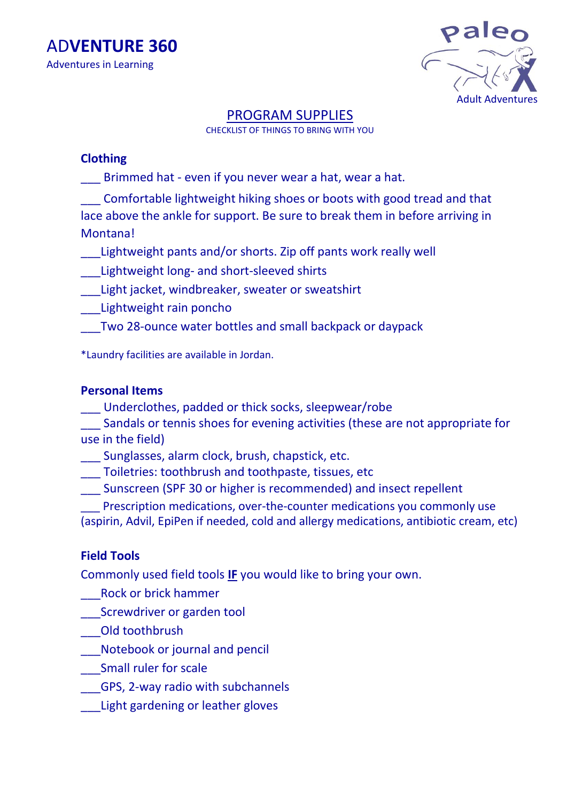

# PROGRAM SUPPLIES

CHECKLIST OF THINGS TO BRING WITH YOU

# **Clothing**

Brimmed hat - even if you never wear a hat, wear a hat.

\_\_\_ Comfortable lightweight hiking shoes or boots with good tread and that lace above the ankle for support. Be sure to break them in before arriving in Montana!

Lightweight pants and/or shorts. Zip off pants work really well

\_\_\_Lightweight long- and short-sleeved shirts

\_\_\_Light jacket, windbreaker, sweater or sweatshirt

\_\_\_Lightweight rain poncho

\_\_\_Two 28-ounce water bottles and small backpack or daypack

\*Laundry facilities are available in Jordan.

# **Personal Items**

\_\_\_ Underclothes, padded or thick socks, sleepwear/robe

\_\_\_ Sandals or tennis shoes for evening activities (these are not appropriate for use in the field)

\_\_\_ Sunglasses, alarm clock, brush, chapstick, etc.

\_\_\_ Toiletries: toothbrush and toothpaste, tissues, etc

\_\_\_ Sunscreen (SPF 30 or higher is recommended) and insect repellent

Prescription medications, over-the-counter medications you commonly use (aspirin, Advil, EpiPen if needed, cold and allergy medications, antibiotic cream, etc)

# **Field Tools**

Commonly used field tools **IF** you would like to bring your own.

\_\_\_Rock or brick hammer

\_\_\_Screwdriver or garden tool

\_\_\_Old toothbrush

\_\_\_Notebook or journal and pencil

\_\_\_Small ruler for scale

\_\_\_GPS, 2-way radio with subchannels

\_\_\_Light gardening or leather gloves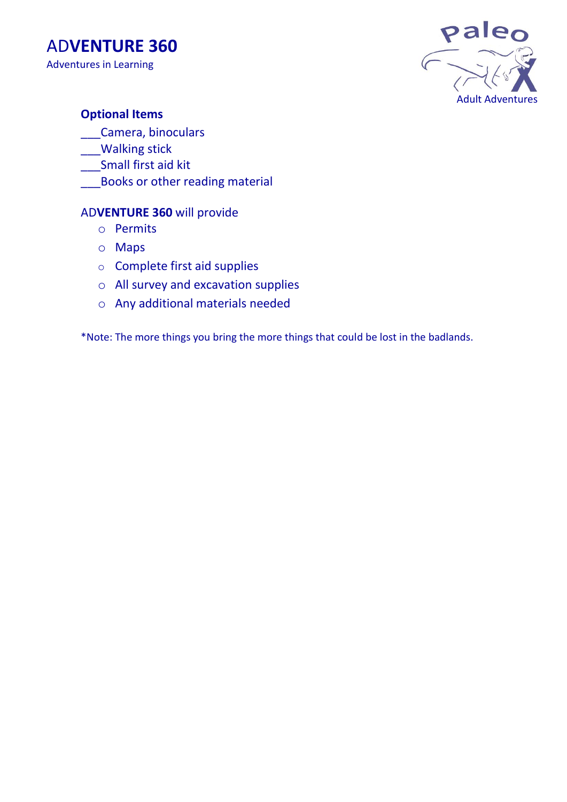



# **Optional Items**

\_\_\_Camera, binoculars

- \_\_\_Walking stick
- \_\_\_Small first aid kit
- **Books or other reading material**

## AD**VENTURE 360** will provide

- o Permits
- o Maps
- o Complete first aid supplies
- o All survey and excavation supplies
- o Any additional materials needed

\*Note: The more things you bring the more things that could be lost in the badlands.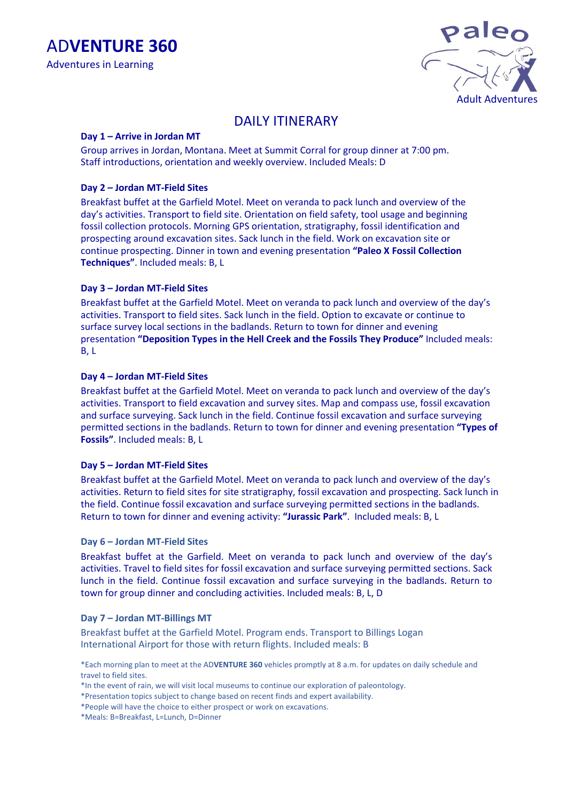

# DAILY ITINERARY

#### **Day 1 – Arrive in Jordan MT**

Group arrives in Jordan, Montana. Meet at Summit Corral for group dinner at 7:00 pm. Staff introductions, orientation and weekly overview. Included Meals: D

#### **Day 2 – Jordan MT-Field Sites**

Breakfast buffet at the Garfield Motel. Meet on veranda to pack lunch and overview of the day's activities. Transport to field site. Orientation on field safety, tool usage and beginning fossil collection protocols. Morning GPS orientation, stratigraphy, fossil identification and prospecting around excavation sites. Sack lunch in the field. Work on excavation site or continue prospecting. Dinner in town and evening presentation **"Paleo X Fossil Collection Techniques"**. Included meals: B, L

#### **Day 3 – Jordan MT-Field Sites**

Breakfast buffet at the Garfield Motel. Meet on veranda to pack lunch and overview of the day's activities. Transport to field sites. Sack lunch in the field. Option to excavate or continue to surface survey local sections in the badlands. Return to town for dinner and evening presentation **"Deposition Types in the Hell Creek and the Fossils They Produce"** Included meals: B, L

#### **Day 4 – Jordan MT-Field Sites**

Breakfast buffet at the Garfield Motel. Meet on veranda to pack lunch and overview of the day's activities. Transport to field excavation and survey sites. Map and compass use, fossil excavation and surface surveying. Sack lunch in the field. Continue fossil excavation and surface surveying permitted sections in the badlands. Return to town for dinner and evening presentation **"Types of Fossils"**. Included meals: B, L

#### **Day 5 – Jordan MT-Field Sites**

Breakfast buffet at the Garfield Motel. Meet on veranda to pack lunch and overview of the day's activities. Return to field sites for site stratigraphy, fossil excavation and prospecting. Sack lunch in the field. Continue fossil excavation and surface surveying permitted sections in the badlands. Return to town for dinner and evening activity: **"Jurassic Park"**. Included meals: B, L

#### **Day 6 – Jordan MT-Field Sites**

Breakfast buffet at the Garfield. Meet on veranda to pack lunch and overview of the day's activities. Travel to field sites for fossil excavation and surface surveying permitted sections. Sack lunch in the field. Continue fossil excavation and surface surveying in the badlands. Return to town for group dinner and concluding activities. Included meals: B, L, D

#### **Day 7 – Jordan MT-Billings MT**

Breakfast buffet at the Garfield Motel. Program ends. Transport to Billings Logan International Airport for those with return flights. Included meals: B

\*Each morning plan to meet at the AD**VENTURE 360** vehicles promptly at 8 a.m. for updates on daily schedule and travel to field sites.

- \*In the event of rain, we will visit local museums to continue our exploration of paleontology.
- \*Presentation topics subject to change based on recent finds and expert availability.

\*People will have the choice to either prospect or work on excavations.

\*Meals: B=Breakfast, L=Lunch, D=Dinner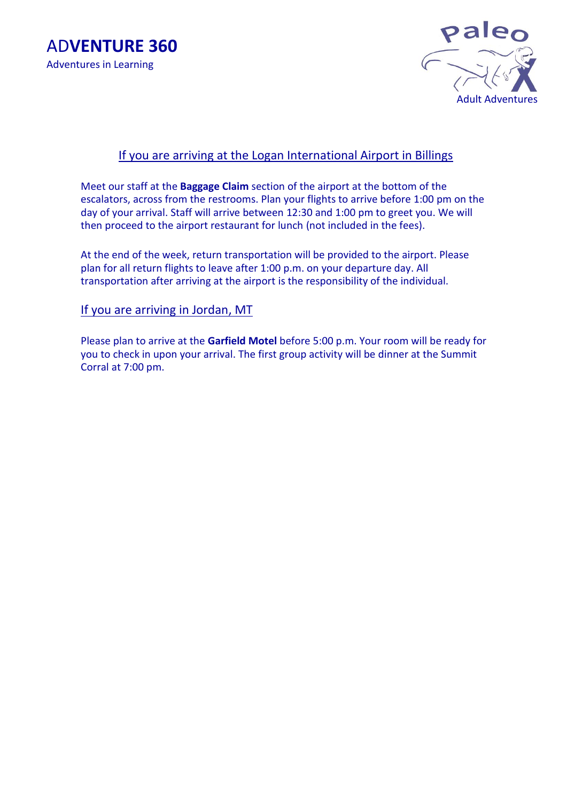



## If you are arriving at the Logan International Airport in Billings

Meet our staff at the **Baggage Claim** section of the airport at the bottom of the escalators, across from the restrooms. Plan your flights to arrive before 1:00 pm on the day of your arrival. Staff will arrive between 12:30 and 1:00 pm to greet you. We will then proceed to the airport restaurant for lunch (not included in the fees).

At the end of the week, return transportation will be provided to the airport. Please plan for all return flights to leave after 1:00 p.m. on your departure day. All transportation after arriving at the airport is the responsibility of the individual.

### If you are arriving in Jordan, MT

Please plan to arrive at the **Garfield Motel** before 5:00 p.m. Your room will be ready for you to check in upon your arrival. The first group activity will be dinner at the Summit Corral at 7:00 pm.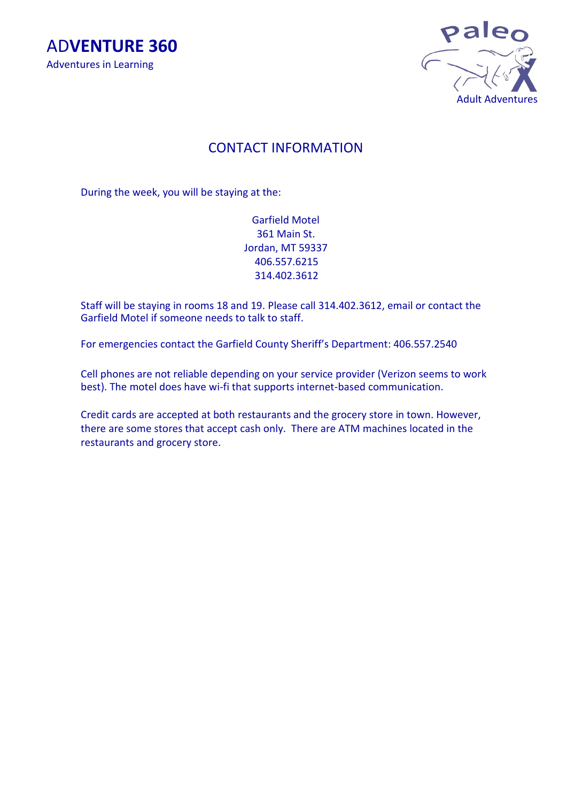



# CONTACT INFORMATION

During the week, you will be staying at the:

Garfield Motel 361 Main St. Jordan, MT 59337 406.557.6215 314.402.3612

Staff will be staying in rooms 18 and 19. Please call 314.402.3612, email or contact the Garfield Motel if someone needs to talk to staff.

For emergencies contact the Garfield County Sheriff's Department: 406.557.2540

Cell phones are not reliable depending on your service provider (Verizon seems to work best). The motel does have wi-fi that supports internet-based communication.

Credit cards are accepted at both restaurants and the grocery store in town. However, there are some stores that accept cash only. There are ATM machines located in the restaurants and grocery store.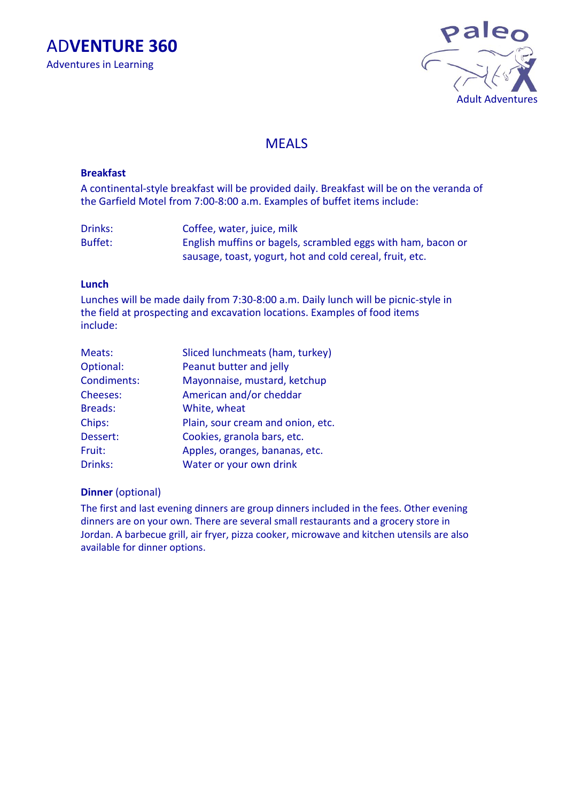AD**VENTURE 360** Adventures in Learning



## MEALS

#### **Breakfast**

A continental-style breakfast will be provided daily. Breakfast will be on the veranda of the Garfield Motel from 7:00-8:00 a.m. Examples of buffet items include:

Drinks: Coffee, water, juice, milk Buffet: English muffins or bagels, scrambled eggs with ham, bacon or sausage, toast, yogurt, hot and cold cereal, fruit, etc.

#### **Lunch**

Lunches will be made daily from 7:30-8:00 a.m. Daily lunch will be picnic-style in the field at prospecting and excavation locations. Examples of food items include:

| Meats:          | Sliced lunchmeats (ham, turkey)   |
|-----------------|-----------------------------------|
| Optional:       | Peanut butter and jelly           |
| Condiments:     | Mayonnaise, mustard, ketchup      |
| <b>Cheeses:</b> | American and/or cheddar           |
| <b>Breads:</b>  | White, wheat                      |
| Chips:          | Plain, sour cream and onion, etc. |
| Dessert:        | Cookies, granola bars, etc.       |
| Fruit:          | Apples, oranges, bananas, etc.    |
| Drinks:         | Water or your own drink           |

#### **Dinner** (optional)

The first and last evening dinners are group dinners included in the fees. Other evening dinners are on your own. There are several small restaurants and a grocery store in Jordan. A barbecue grill, air fryer, pizza cooker, microwave and kitchen utensils are also available for dinner options.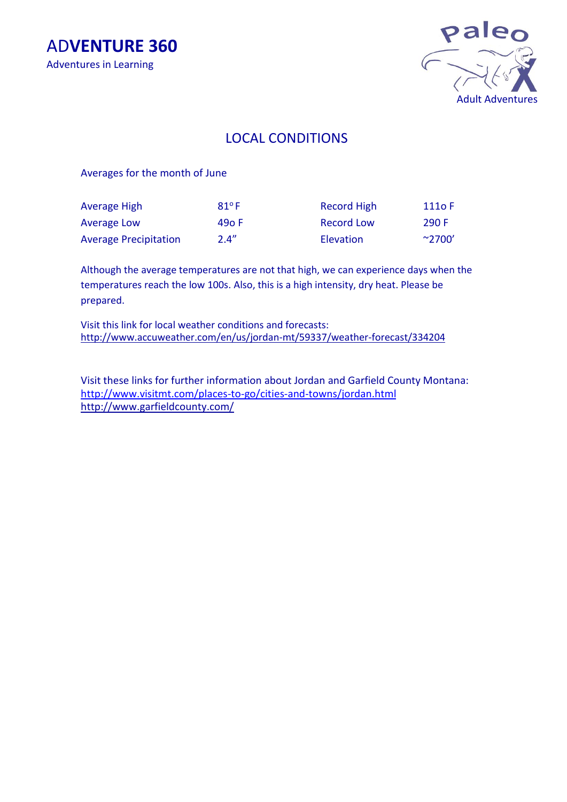AD**VENTURE 360** Adventures in Learning



# LOCAL CONDITIONS

Averages for the month of June

| Average High                 | $81^{\circ}$ F | Record High | 111o F                     |
|------------------------------|----------------|-------------|----------------------------|
| Average Low                  | 490 F          | Record Low  | 290 F                      |
| <b>Average Precipitation</b> | 2.4''          | Elevation   | $^{\sim}$ 2700 $^{\prime}$ |

Although the average temperatures are not that high, we can experience days when the temperatures reach the low 100s. Also, this is a high intensity, dry heat. Please be prepared.

Visit this link for local weather conditions and forecasts: http://www.accuweather.com/en/us/jordan-mt/59337/weather-forecast/334204

Visit these links for further information about Jordan and Garfield County Montana: <http://www.visitmt.com/places-to-go/cities-and-towns/jordan.html> http://www.garfieldcounty.com/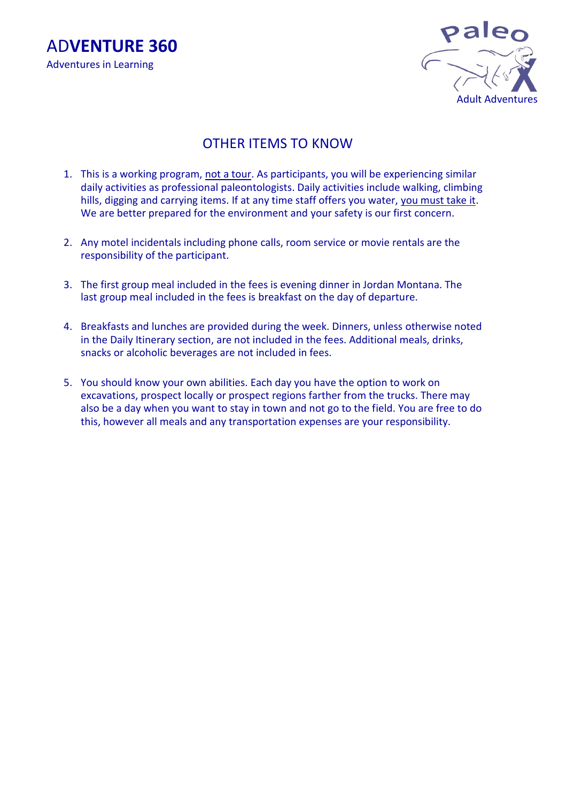AD**VENTURE 360** Adventures in Learning



# OTHER ITEMS TO KNOW

- 1. This is a working program, not a tour. As participants, you will be experiencing similar daily activities as professional paleontologists. Daily activities include walking, climbing hills, digging and carrying items. If at any time staff offers you water, you must take it. We are better prepared for the environment and your safety is our first concern.
- 2. Any motel incidentals including phone calls, room service or movie rentals are the responsibility of the participant.
- 3. The first group meal included in the fees is evening dinner in Jordan Montana. The last group meal included in the fees is breakfast on the day of departure.
- 4. Breakfasts and lunches are provided during the week. Dinners, unless otherwise noted in the Daily Itinerary section, are not included in the fees. Additional meals, drinks, snacks or alcoholic beverages are not included in fees.
- 5. You should know your own abilities. Each day you have the option to work on excavations, prospect locally or prospect regions farther from the trucks. There may also be a day when you want to stay in town and not go to the field. You are free to do this, however all meals and any transportation expenses are your responsibility.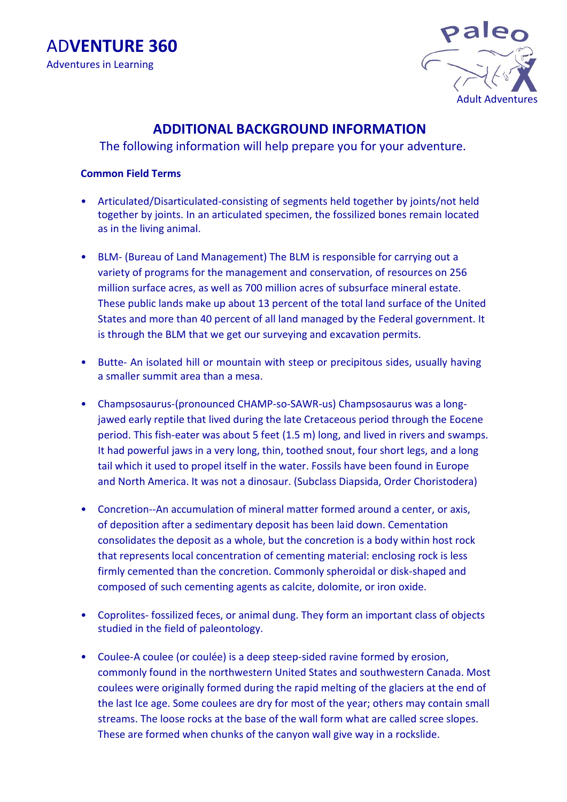

# **ADDITIONAL BACKGROUND INFORMATION**

The following information will help prepare you for your adventure.

### **Common Field Terms**

- Articulated/Disarticulated-consisting of segments held together by joints/not held together by joints. In an articulated specimen, the fossilized bones remain located as in the living animal.
- BLM- (Bureau of Land Management) The BLM is responsible for carrying out a variety of programs for the management and conservation, of resources on 256 million surface acres, as well as 700 million acres of subsurface mineral estate. These public lands make up about 13 percent of the total land surface of the United States and more than 40 percent of all land managed by the Federal government. It is through the BLM that we get our surveying and excavation permits.
- Butte- An isolated hill or mountain with steep or precipitous sides, usually having a smaller summit area than a mesa.
- Champsosaurus-(pronounced CHAMP-so-SAWR-us) Champsosaurus was a longjawed early reptile that lived during the late Cretaceous period through the Eocene period. This fish-eater was about 5 feet (1.5 m) long, and lived in rivers and swamps. It had powerful jaws in a very long, thin, toothed snout, four short legs, and a long tail which it used to propel itself in the water. Fossils have been found in Europe and North America. It was not a dinosaur. (Subclass Diapsida, Order Choristodera)
- Concretion--An accumulation of mineral matter formed around a center, or axis, of deposition after a sedimentary deposit has been laid down. Cementation consolidates the deposit as a whole, but the concretion is a body within host rock that represents local concentration of cementing material: enclosing rock is less firmly cemented than the concretion. Commonly spheroidal or disk-shaped and composed of such cementing agents as calcite, dolomite, or iron oxide.
- Coprolites- fossilized feces, or animal dung. They form an important class of objects studied in the field of paleontology.
- Coulee-A coulee (or coulée) is a deep steep-sided ravine formed by erosion, commonly found in the northwestern United States and southwestern Canada. Most coulees were originally formed during the rapid melting of the glaciers at the end of the last Ice age. Some coulees are dry for most of the year; others may contain small streams. The loose rocks at the base of the wall form what are called scree slopes. These are formed when chunks of the canyon wall give way in a rockslide.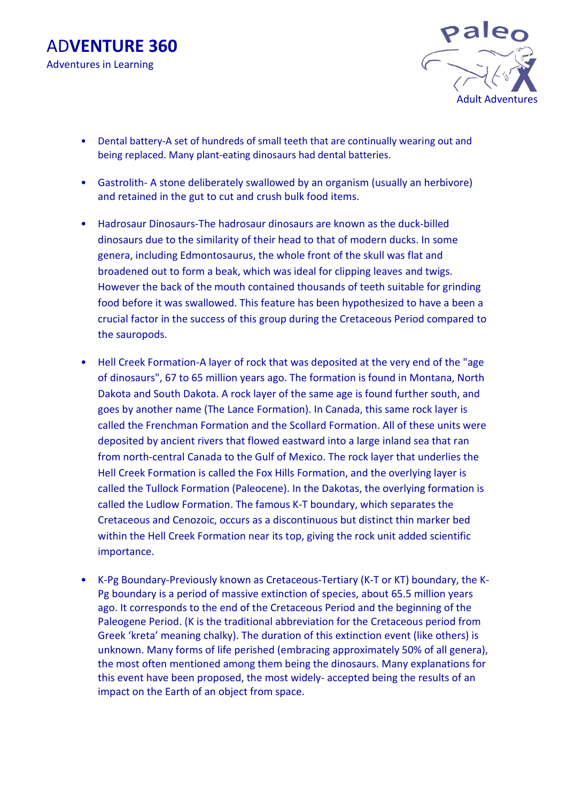



- Dental battery-A set of hundreds of small teeth that are continually wearing out and being replaced. Many plant-eating dinosaurs had dental batteries.
- Gastrolith- A stone deliberately swallowed by an organism (usually an herbivore) and retained in the gut to cut and crush bulk food items.
- Hadrosaur Dinosaurs-The hadrosaur dinosaurs are known as the duck-billed dinosaurs due to the similarity of their head to that of modern ducks. In some genera, including Edmontosaurus, the whole front of the skull was flat and broadened out to form a beak, which was ideal for clipping leaves and twigs. However the back of the mouth contained thousands of teeth suitable for grinding food before it was swallowed. This feature has been hypothesized to have a been a crucial factor in the success of this group during the Cretaceous Period compared to the sauropods.
- Hell Creek Formation-A layer of rock that was deposited at the very end of the "age of dinosaurs", 67 to 65 million years ago. The formation is found in Montana, North Dakota and South Dakota. A rock layer of the same age is found further south, and goes by another name (The Lance Formation). In Canada, this same rock layer is called the Frenchman Formation and the Scollard Formation. All of these units were deposited by ancient rivers that flowed eastward into a large inland sea that ran from north-central Canada to the Gulf of Mexico. The rock layer that underlies the Hell Creek Formation is called the Fox Hills Formation, and the overlying layer is called the Tullock Formation (Paleocene). In the Dakotas, the overlying formation is called the Ludlow Formation. The famous K-T boundary, which separates the Cretaceous and Cenozoic, occurs as a discontinuous but distinct thin marker bed within the Hell Creek Formation near its top, giving the rock unit added scientific importance.
- K-Pg Boundary-Previously known as Cretaceous-Tertiary (K-T or KT) boundary, the K-Pg boundary is a period of massive extinction of species, about 65.5 million years ago. It corresponds to the end of the Cretaceous Period and the beginning of the Paleogene Period. (K is the traditional abbreviation for the Cretaceous period from Greek 'kreta' meaning chalky). The duration of this extinction event (like others) is unknown. Many forms of life perished (embracing approximately 50% of all genera), the most often mentioned among them being the dinosaurs. Many explanations for this event have been proposed, the most widely- accepted being the results of an impact on the Earth of an object from space.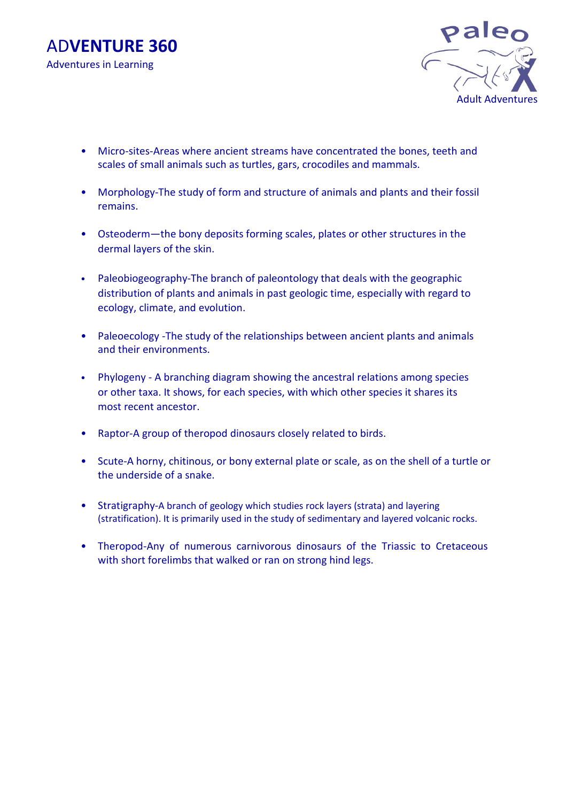



- Micro-sites-Areas where ancient streams have concentrated the bones, teeth and scales of small animals such as turtles, gars, crocodiles and mammals.
- Morphology-The study of form and structure of animals and plants and their fossil remains.
- Osteoderm—the bony deposits forming scales, plates or other structures in the dermal layers of the skin.
- Paleobiogeography-The branch of paleontology that deals with the geographic distribution of plants and animals in past geologic time, especially with regard to ecology, climate, and evolution.
- Paleoecology -The study of the relationships between ancient plants and animals and their environments.
- Phylogeny A branching diagram showing the ancestral relations among species or other taxa. It shows, for each species, with which other species it shares its most recent ancestor.
- Raptor-A group of theropod dinosaurs closely related to birds.
- Scute-A horny, chitinous, or bony external plate or scale, as on the shell of a turtle or the underside of a snake.
- Stratigraphy-A branch o[f geology](http://en.wikipedia.org/wiki/Geology) which studie[s rock](http://en.wikipedia.org/wiki/Rock_(geology)) layers [\(strata\)](http://en.wikipedia.org/wiki/Stratum) and layering (stratification). It is primarily used in the study of [sedimentary](http://en.wikipedia.org/wiki/Sedimentary_rock) and layered [volcanic rocks.](http://en.wikipedia.org/wiki/Volcanic_rock)
- Theropod-Any of numerous carnivorous dinosaurs of the Triassic to Cretaceous with short forelimbs that walked or ran on strong hind legs.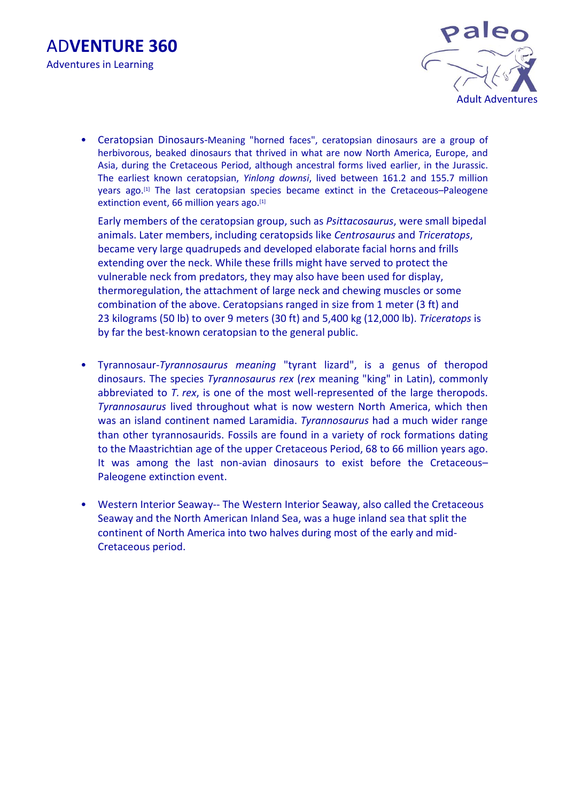



• Ceratopsian Dinosaurs-Meaning "horned faces", ceratopsian dinosaurs are a group of [herbivorous,](http://en.wikipedia.org/wiki/Herbivore) beaked [dinosaurs](http://en.wikipedia.org/wiki/Dinosaur) that thrived in what are now [North America,](http://en.wikipedia.org/wiki/North_America) [Europe,](http://en.wikipedia.org/wiki/Europe) and [Asia,](http://en.wikipedia.org/wiki/Asia) during the [Cretaceous](http://en.wikipedia.org/wiki/Cretaceous) [Period,](http://en.wikipedia.org/wiki/Period_(geology)) although ancestral forms lived earlier, in the [Jurassic.](http://en.wikipedia.org/wiki/Jurassic) The earliest known ceratopsian, *[Yinlong downsi](http://en.wikipedia.org/wiki/Yinlong_downsi)*, lived between 161.2 and 155.7 million years ago.[\[1\]](http://en.wikipedia.org/wiki/Ceratopsia#cite_note-Holtz2008-1) The last ceratopsian species became extinct in the [Cretaceous](http://en.wikipedia.org/wiki/Cretaceous%E2%80%93Paleogene_extinction_event)–Paleogene [extinction event,](http://en.wikipedia.org/wiki/Cretaceous%E2%80%93Paleogene_extinction_event) [66](http://tools.wmflabs.org/timescale/?Ma=66) million years ago.<sup>[\[1\]](http://en.wikipedia.org/wiki/Ceratopsia#cite_note-Holtz2008-1)</sup>

Early members of the ceratopsian group, such as *[Psittacosaurus](http://en.wikipedia.org/wiki/Psittacosaurus)*, were small [bipedal](http://en.wikipedia.org/wiki/Biped) animals. Later members, including [ceratopsids](http://en.wikipedia.org/wiki/Ceratopsidae) like *[Centrosaurus](http://en.wikipedia.org/wiki/Centrosaurus)* and *[Triceratops](http://en.wikipedia.org/wiki/Triceratops)*, became very large [quadrupeds](http://en.wikipedia.org/wiki/Quadruped) and developed elaborate facial [horns](http://en.wikipedia.org/wiki/Horn_(anatomy)) and frills extending over the neck. While these frills might have served to protect the vulnerable neck from [predators,](http://en.wikipedia.org/wiki/Predation) they may also have been used for [display,](http://en.wikipedia.org/wiki/Display_(zoology)) [thermoregulation,](http://en.wikipedia.org/wiki/Thermoregulation) the attachment of large neck and chewing muscles or some combination of the above. Ceratopsians ranged in size from 1 meter (3 ft) and 23 kilograms (50 lb) to over 9 meters (30 ft) and 5,400 kg (12,000 lb). *Triceratops* is by far the best-known ceratopsian to the general public.

- Tyrannosaur-*Tyrannosaurus meaning* "tyrant lizard", is a [genus](http://en.wikipedia.org/wiki/Genus) of [theropod](http://en.wikipedia.org/wiki/Theropoda) [dinosaurs](http://en.wikipedia.org/wiki/Dinosaur). The [species](http://en.wikipedia.org/wiki/Species) *Tyrannosaurus rex* (*rex* meaning "king" in [Latin\)](http://en.wikipedia.org/wiki/Latin), commonly abbreviated to *T. rex*, is one of the most well-represented of the large theropods. *Tyrannosaurus* lived throughout what is now western North America, which then was an island continent named [Laramidia.](http://en.wikipedia.org/wiki/Laramidia) *Tyrannosaurus* had a much wider range than other [tyrannosaurids.](http://en.wikipedia.org/wiki/Tyrannosauridae) Fossils are found in a variety of [rock formations](http://en.wikipedia.org/wiki/Geologic_formation) dating to the [Maastrichtian](http://en.wikipedia.org/wiki/Maastrichtian) age of the upper [Cretaceous](http://en.wikipedia.org/wiki/Cretaceous) [Period,](http://en.wikipedia.org/wiki/Period_(geology)) 68 to 66 [million years ago.](http://en.wikipedia.org/wiki/Mya_(unit)) It was among the last non[-avian](http://en.wikipedia.org/wiki/Aves) dinosaurs to exist before the [Cretaceous](http://en.wikipedia.org/wiki/Cretaceous%E2%80%93Paleogene_extinction_event)– [Paleogene extinction event.](http://en.wikipedia.org/wiki/Cretaceous%E2%80%93Paleogene_extinction_event)
- Western Interior Seaway-- The Western Interior Seaway, also called the Cretaceous Seaway and the North American Inland Sea, was a huge inland sea that split the continent of North America into two halves during most of the early and mid-Cretaceous period.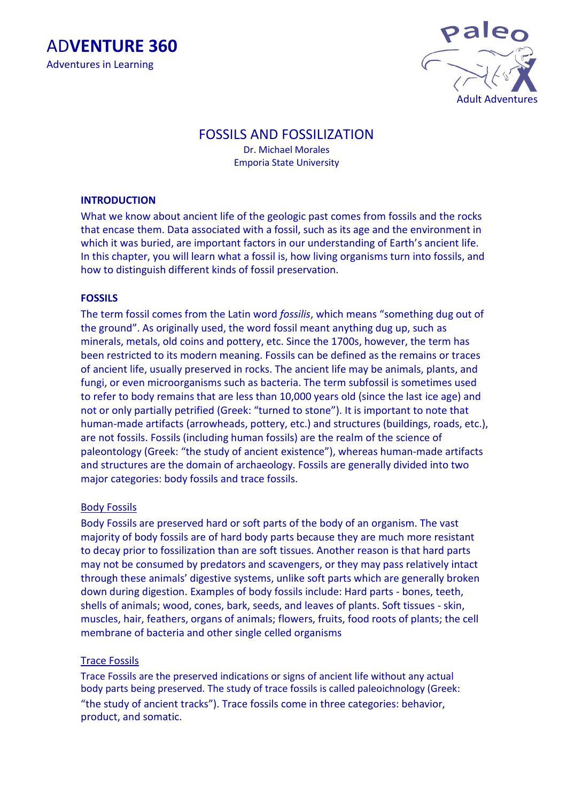



## FOSSILS AND FOSSILIZATION

Dr. Michael Morales Emporia State University

#### **INTRODUCTION**

What we know about ancient life of the geologic past comes from fossils and the rocks that encase them. Data associated with a fossil, such as its age and the environment in which it was buried, are important factors in our understanding of Earth's ancient life. In this chapter, you will learn what a fossil is, how living organisms turn into fossils, and how to distinguish different kinds of fossil preservation.

#### **FOSSILS**

The term fossil comes from the Latin word *fossilis*, which means "something dug out of the ground". As originally used, the word fossil meant anything dug up, such as minerals, metals, old coins and pottery, etc. Since the 1700s, however, the term has been restricted to its modern meaning. Fossils can be defined as the remains or traces of ancient life, usually preserved in rocks. The ancient life may be animals, plants, and fungi, or even microorganisms such as bacteria. The term subfossil is sometimes used to refer to body remains that are less than 10,000 years old (since the last ice age) and not or only partially petrified (Greek: "turned to stone"). It is important to note that human-made artifacts (arrowheads, pottery, etc.) and structures (buildings, roads, etc.), are not fossils. Fossils (including human fossils) are the realm of the science of paleontology (Greek: "the study of ancient existence"), whereas human-made artifacts and structures are the domain of archaeology. Fossils are generally divided into two major categories: body fossils and trace fossils.

#### Body Fossils

Body Fossils are preserved hard or soft parts of the body of an organism. The vast majority of body fossils are of hard body parts because they are much more resistant to decay prior to fossilization than are soft tissues. Another reason is that hard parts may not be consumed by predators and scavengers, or they may pass relatively intact through these animals' digestive systems, unlike soft parts which are generally broken down during digestion. Examples of body fossils include: Hard parts - bones, teeth, shells of animals; wood, cones, bark, seeds, and leaves of plants. Soft tissues - skin, muscles, hair, feathers, organs of animals; flowers, fruits, food roots of plants; the cell membrane of bacteria and other single celled organisms

#### Trace Fossils

Trace Fossils are the preserved indications or signs of ancient life without any actual body parts being preserved. The study of trace fossils is called paleoichnology (Greek: "the study of ancient tracks"). Trace fossils come in three categories: behavior, product, and somatic.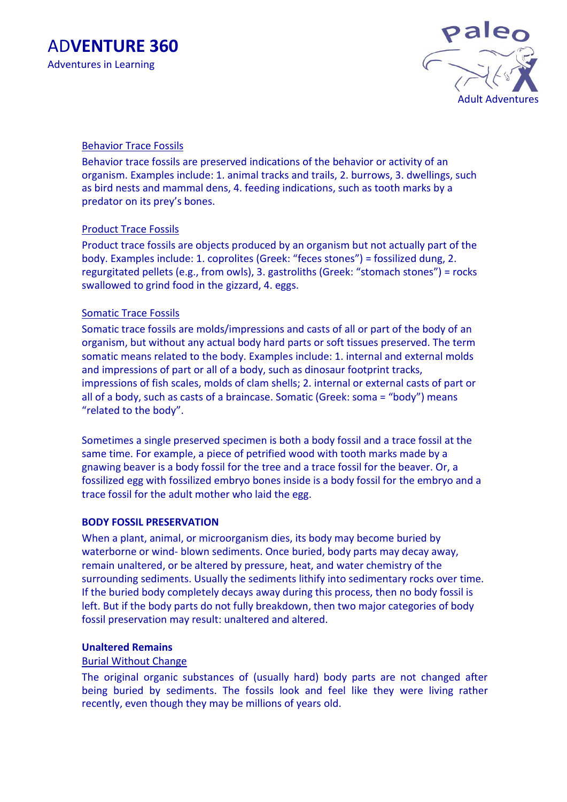

## Behavior Trace Fossils

Behavior trace fossils are preserved indications of the behavior or activity of an organism. Examples include: 1. animal tracks and trails, 2. burrows, 3. dwellings, such as bird nests and mammal dens, 4. feeding indications, such as tooth marks by a predator on its prey's bones.

## Product Trace Fossils

Product trace fossils are objects produced by an organism but not actually part of the body. Examples include: 1. coprolites (Greek: "feces stones") = fossilized dung, 2. regurgitated pellets (e.g., from owls), 3. gastroliths (Greek: "stomach stones") = rocks swallowed to grind food in the gizzard, 4. eggs.

## Somatic Trace Fossils

Somatic trace fossils are molds/impressions and casts of all or part of the body of an organism, but without any actual body hard parts or soft tissues preserved. The term somatic means related to the body. Examples include: 1. internal and external molds and impressions of part or all of a body, such as dinosaur footprint tracks, impressions of fish scales, molds of clam shells; 2. internal or external casts of part or all of a body, such as casts of a braincase. Somatic (Greek: soma = "body") means "related to the body".

Sometimes a single preserved specimen is both a body fossil and a trace fossil at the same time. For example, a piece of petrified wood with tooth marks made by a gnawing beaver is a body fossil for the tree and a trace fossil for the beaver. Or, a fossilized egg with fossilized embryo bones inside is a body fossil for the embryo and a trace fossil for the adult mother who laid the egg.

#### **BODY FOSSIL PRESERVATION**

When a plant, animal, or microorganism dies, its body may become buried by waterborne or wind- blown sediments. Once buried, body parts may decay away, remain unaltered, or be altered by pressure, heat, and water chemistry of the surrounding sediments. Usually the sediments lithify into sedimentary rocks over time. If the buried body completely decays away during this process, then no body fossil is left. But if the body parts do not fully breakdown, then two major categories of body fossil preservation may result: unaltered and altered.

## **Unaltered Remains**

## Burial Without Change

The original organic substances of (usually hard) body parts are not changed after being buried by sediments. The fossils look and feel like they were living rather recently, even though they may be millions of years old.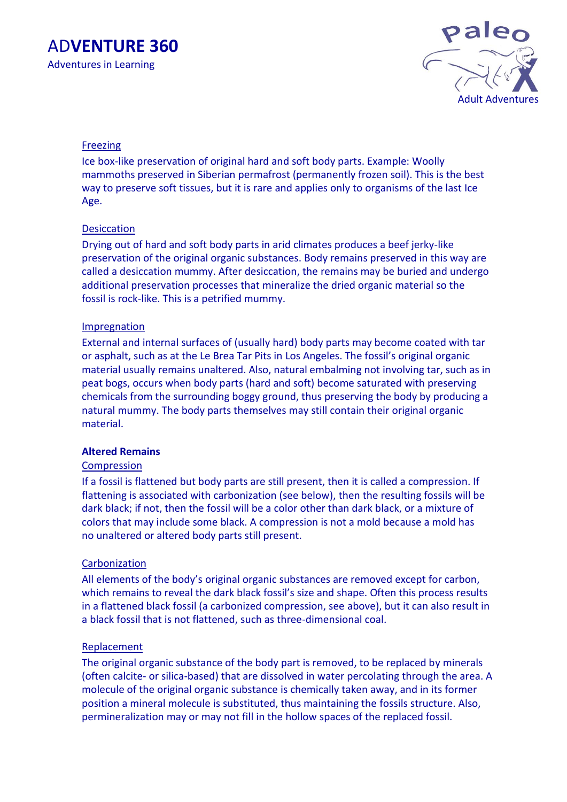

### Freezing

Ice box-like preservation of original hard and soft body parts. Example: Woolly mammoths preserved in Siberian permafrost (permanently frozen soil). This is the best way to preserve soft tissues, but it is rare and applies only to organisms of the last Ice Age.

### **Desiccation**

Drying out of hard and soft body parts in arid climates produces a beef jerky-like preservation of the original organic substances. Body remains preserved in this way are called a desiccation mummy. After desiccation, the remains may be buried and undergo additional preservation processes that mineralize the dried organic material so the fossil is rock-like. This is a petrified mummy.

#### **Impregnation**

External and internal surfaces of (usually hard) body parts may become coated with tar or asphalt, such as at the Le Brea Tar Pits in Los Angeles. The fossil's original organic material usually remains unaltered. Also, natural embalming not involving tar, such as in peat bogs, occurs when body parts (hard and soft) become saturated with preserving chemicals from the surrounding boggy ground, thus preserving the body by producing a natural mummy. The body parts themselves may still contain their original organic material.

## **Altered Remains**

#### **Compression**

If a fossil is flattened but body parts are still present, then it is called a compression. If flattening is associated with carbonization (see below), then the resulting fossils will be dark black; if not, then the fossil will be a color other than dark black, or a mixture of colors that may include some black. A compression is not a mold because a mold has no unaltered or altered body parts still present.

#### **Carbonization**

All elements of the body's original organic substances are removed except for carbon, which remains to reveal the dark black fossil's size and shape. Often this process results in a flattened black fossil (a carbonized compression, see above), but it can also result in a black fossil that is not flattened, such as three-dimensional coal.

#### **Replacement**

The original organic substance of the body part is removed, to be replaced by minerals (often calcite- or silica-based) that are dissolved in water percolating through the area. A molecule of the original organic substance is chemically taken away, and in its former position a mineral molecule is substituted, thus maintaining the fossils structure. Also, permineralization may or may not fill in the hollow spaces of the replaced fossil.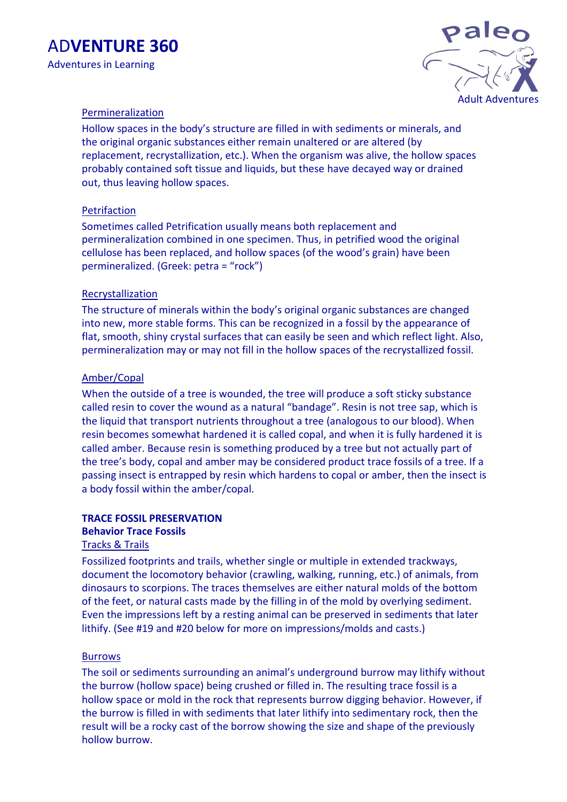



### **Permineralization**

Hollow spaces in the body's structure are filled in with sediments or minerals, and the original organic substances either remain unaltered or are altered (by replacement, recrystallization, etc.). When the organism was alive, the hollow spaces probably contained soft tissue and liquids, but these have decayed way or drained out, thus leaving hollow spaces.

#### **Petrifaction**

Sometimes called Petrification usually means both replacement and permineralization combined in one specimen. Thus, in petrified wood the original cellulose has been replaced, and hollow spaces (of the wood's grain) have been permineralized. (Greek: petra = "rock")

### Recrystallization

The structure of minerals within the body's original organic substances are changed into new, more stable forms. This can be recognized in a fossil by the appearance of flat, smooth, shiny crystal surfaces that can easily be seen and which reflect light. Also, permineralization may or may not fill in the hollow spaces of the recrystallized fossil.

### Amber/Copal

When the outside of a tree is wounded, the tree will produce a soft sticky substance called resin to cover the wound as a natural "bandage". Resin is not tree sap, which is the liquid that transport nutrients throughout a tree (analogous to our blood). When resin becomes somewhat hardened it is called copal, and when it is fully hardened it is called amber. Because resin is something produced by a tree but not actually part of the tree's body, copal and amber may be considered product trace fossils of a tree. If a passing insect is entrapped by resin which hardens to copal or amber, then the insect is a body fossil within the amber/copal.

## **TRACE FOSSIL PRESERVATION**

## **Behavior Trace Fossils**

### Tracks & Trails

Fossilized footprints and trails, whether single or multiple in extended trackways, document the locomotory behavior (crawling, walking, running, etc.) of animals, from dinosaurs to scorpions. The traces themselves are either natural molds of the bottom of the feet, or natural casts made by the filling in of the mold by overlying sediment. Even the impressions left by a resting animal can be preserved in sediments that later lithify. (See #19 and #20 below for more on impressions/molds and casts.)

#### **Burrows**

The soil or sediments surrounding an animal's underground burrow may lithify without the burrow (hollow space) being crushed or filled in. The resulting trace fossil is a hollow space or mold in the rock that represents burrow digging behavior. However, if the burrow is filled in with sediments that later lithify into sedimentary rock, then the result will be a rocky cast of the borrow showing the size and shape of the previously hollow burrow.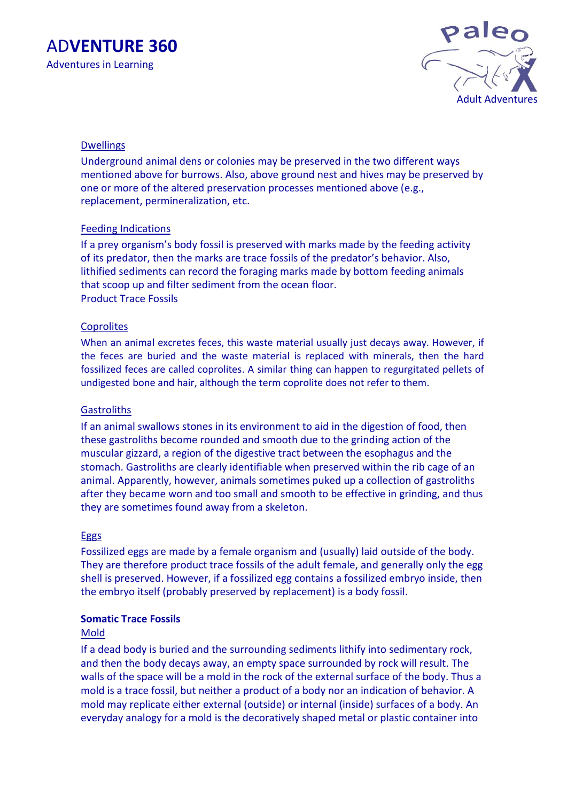



### Dwellings

Underground animal dens or colonies may be preserved in the two different ways mentioned above for burrows. Also, above ground nest and hives may be preserved by one or more of the altered preservation processes mentioned above (e.g., replacement, permineralization, etc.

### Feeding Indications

If a prey organism's body fossil is preserved with marks made by the feeding activity of its predator, then the marks are trace fossils of the predator's behavior. Also, lithified sediments can record the foraging marks made by bottom feeding animals that scoop up and filter sediment from the ocean floor. Product Trace Fossils

#### **Coprolites**

When an animal excretes feces, this waste material usually just decays away. However, if the feces are buried and the waste material is replaced with minerals, then the hard fossilized feces are called coprolites. A similar thing can happen to regurgitated pellets of undigested bone and hair, although the term coprolite does not refer to them.

#### **Gastroliths**

If an animal swallows stones in its environment to aid in the digestion of food, then these gastroliths become rounded and smooth due to the grinding action of the muscular gizzard, a region of the digestive tract between the esophagus and the stomach. Gastroliths are clearly identifiable when preserved within the rib cage of an animal. Apparently, however, animals sometimes puked up a collection of gastroliths after they became worn and too small and smooth to be effective in grinding, and thus they are sometimes found away from a skeleton.

#### **Eggs**

Fossilized eggs are made by a female organism and (usually) laid outside of the body. They are therefore product trace fossils of the adult female, and generally only the egg shell is preserved. However, if a fossilized egg contains a fossilized embryo inside, then the embryo itself (probably preserved by replacement) is a body fossil.

#### **Somatic Trace Fossils**

#### Mold

If a dead body is buried and the surrounding sediments lithify into sedimentary rock, and then the body decays away, an empty space surrounded by rock will result. The walls of the space will be a mold in the rock of the external surface of the body. Thus a mold is a trace fossil, but neither a product of a body nor an indication of behavior. A mold may replicate either external (outside) or internal (inside) surfaces of a body. An everyday analogy for a mold is the decoratively shaped metal or plastic container into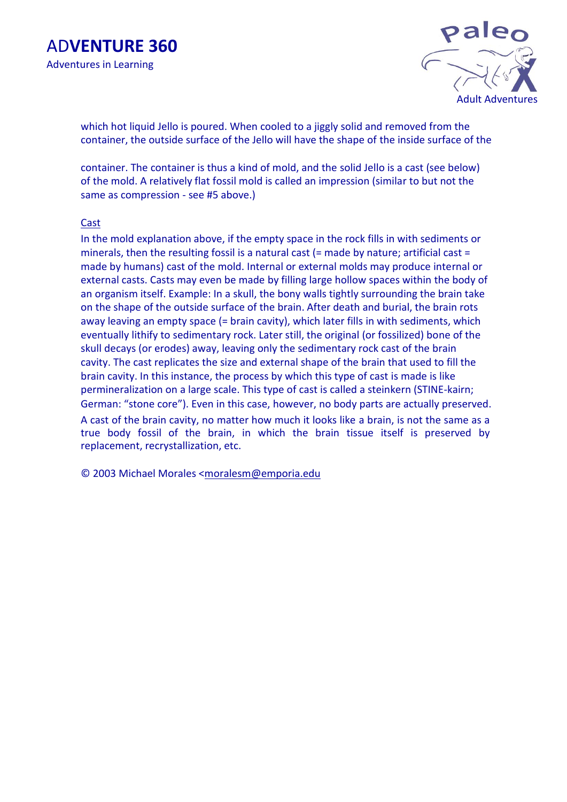

which hot liquid Jello is poured. When cooled to a jiggly solid and removed from the container, the outside surface of the Jello will have the shape of the inside surface of the

container. The container is thus a kind of mold, and the solid Jello is a cast (see below) of the mold. A relatively flat fossil mold is called an impression (similar to but not the same as compression - see #5 above.)

#### **Cast**

In the mold explanation above, if the empty space in the rock fills in with sediments or minerals, then the resulting fossil is a natural cast (= made by nature; artificial cast = made by humans) cast of the mold. Internal or external molds may produce internal or external casts. Casts may even be made by filling large hollow spaces within the body of an organism itself. Example: In a skull, the bony walls tightly surrounding the brain take on the shape of the outside surface of the brain. After death and burial, the brain rots away leaving an empty space (= brain cavity), which later fills in with sediments, which eventually lithify to sedimentary rock. Later still, the original (or fossilized) bone of the skull decays (or erodes) away, leaving only the sedimentary rock cast of the brain cavity. The cast replicates the size and external shape of the brain that used to fill the brain cavity. In this instance, the process by which this type of cast is made is like permineralization on a large scale. This type of cast is called a steinkern (STINE-kairn; German: "stone core"). Even in this case, however, no body parts are actually preserved.

A cast of the brain cavity, no matter how much it looks like a brain, is not the same as a true body fossil of the brain, in which the brain tissue itself is preserved by replacement, recrystallization, etc.

© 2003 Michael Morales <moralesm@emporia.edu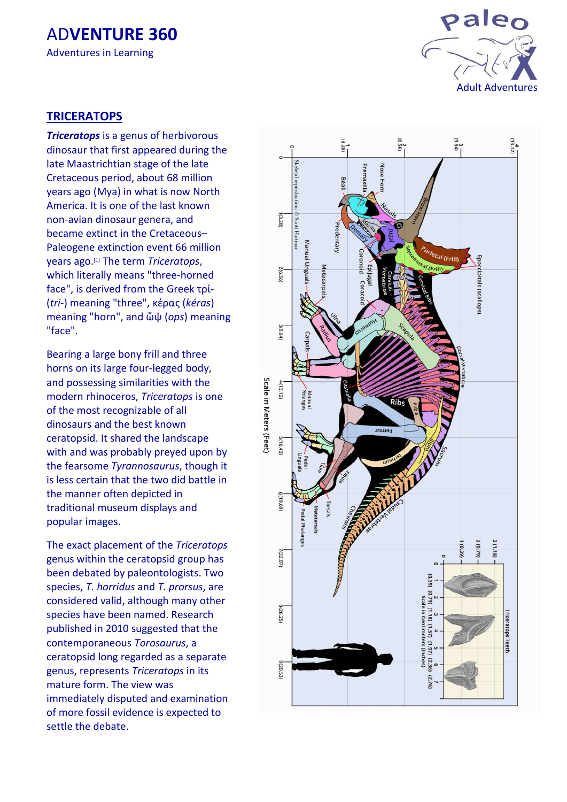

## **TRICERATOPS**

*Triceratops* is a [genus](http://en.wikipedia.org/wiki/Genus) o[f herbivorous](http://en.wikipedia.org/wiki/Herbivorous) [dinosaur](http://en.wikipedia.org/wiki/Dinosaur) that first appeared during the late [Maastrichtian](http://en.wikipedia.org/wiki/Maastrichtian) stage of the late [Cretaceous](http://en.wikipedia.org/wiki/Cretaceous) [period,](http://en.wikipedia.org/wiki/Period_(geology)) about 68 [million](http://en.wikipedia.org/wiki/Mya_(unit))  [years ago](http://en.wikipedia.org/wiki/Mya_(unit)) (Mya) in what is now [North](http://en.wikipedia.org/wiki/North_America)  [America.](http://en.wikipedia.org/wiki/North_America) It is one of the last known no n -avian dinosaur genera, and became extinct in the [Cretaceou](http://en.wikipedia.org/wiki/Cretaceous%E2%80%93Paleogene_extinction_event) s – [Paleogene extinction event](http://en.wikipedia.org/wiki/Cretaceous%E2%80%93Paleogene_extinction_event) 66 million years ago.[\[1\]](http://en.wikipedia.org/wiki/Triceratops#cite_note-scannella2014-1) The term *Triceratops*, which literally means "three -horned face", is derived from the [Greek](http://en.wikipedia.org/wiki/Ancient_Greek) τρί - (*tri -*) meaning "three", [κέρας](http://en.wiktionary.org/wiki/%CE%BA%CE%AD%CF%81%CE%B1%CF%82) (*kéras*) meaning "horn", and [ὤψ](http://en.wiktionary.org/wiki/%E1%BD%A4%CF%88) (*ops*) meaning "face".

Bearing a large bony [frill](http://en.wikipedia.org/wiki/Neck_frill) and three [horns](http://en.wikipedia.org/wiki/Horn_(anatomy)) on its large four -legged body, and possessing similarities with the modern [rhinoceros,](http://en.wikipedia.org/wiki/Rhinoceros) *Triceratops* is one of the most recognizable of all dinosaurs and the best known ceratopsid. It shared the landscape with and was probably [preyed upon](http://en.wikipedia.org/wiki/Predation) by the fearsome *[Tyrannosaurus](http://en.wikipedia.org/wiki/Tyrannosaurus)*, though it is less certain that the two did battle in the manner often depicted in traditional museum displays and popular images.

The exact placement of the *Triceratops* genus within the ceratopsid group has been debated by [paleontologists.](http://en.wikipedia.org/wiki/Paleontology) Two [species,](http://en.wikipedia.org/wiki/Species) *T. horridus* and *T. prorsus* , are considered valid, although many other species have been named. Research published in 2010 suggested that the contemporaneous *[Torosaurus](http://en.wikipedia.org/wiki/Torosaurus)*, a ceratopsid long regarded as a separate genus, represents *Triceratops* in its mature form. The view was immediately disputed and examination of more fossil evidence is expected to settle the debate.

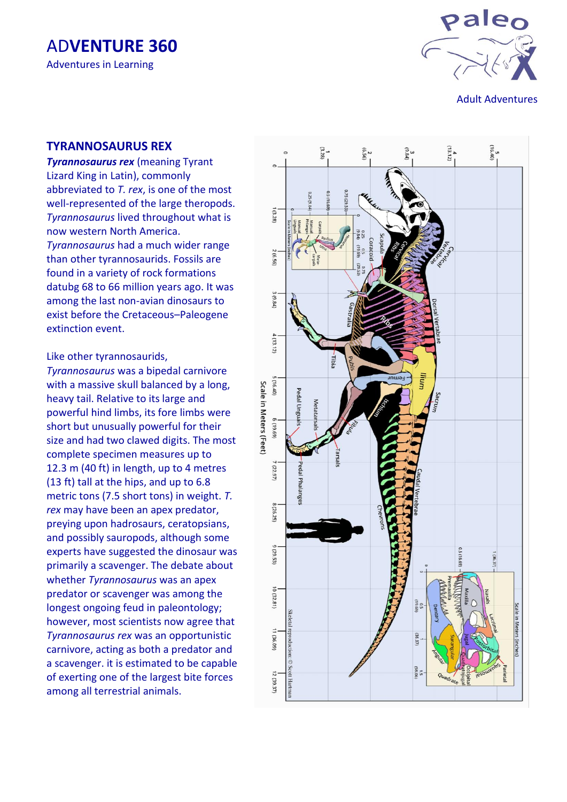

Adult Adventures

### **TYRANNOSAURUS REX**

*Tyrannosaurus rex* (meaning Tyrant Lizard King in Latin), commonly abbreviated to *T. rex*, is one of the most well -represented of the large theropods. *Tyrannosaurus* lived throughout what is now western North America. *Tyrannosaurus* had a much wider range than other tyrannosaurids. Fossils are found in a variety of rock formations datubg 68 to 66 million years ago. It was among the last non -avian dinosaurs to exist before the Cretaceous –Paleogene extinction event .

Like other tyrannosaurids,

*Tyrannosaurus* was a bipedal carnivore with a massive skull balanced by a long, heavy tail. Relative to its large and powerful hind limbs, its fore limbs were short but unusually powerful for their size and had two clawed digits. The most complete specimen measures up to 12.3 m (40 ft) in length, up to 4 metres (13 ft) tall at the hips, and up to 6.8 metric tons (7.5 short tons) in weight. *T. rex* may have been an apex predator, preying upon hadrosaurs, ceratopsians, and possibly sauropods, although some experts have suggested the dinosaur was primarily a scavenger. The debate about whether *Tyrannosaurus* was an apex predator or scavenger was among the longest ongoing feud in paleontology; however, most scientists now agree that *Tyrannosaurus rex* was an opportunistic carnivore, acting as both a predator and a scavenger. it is estimated to be capable of exerting one of the largest bite forces among all terrestrial animals.

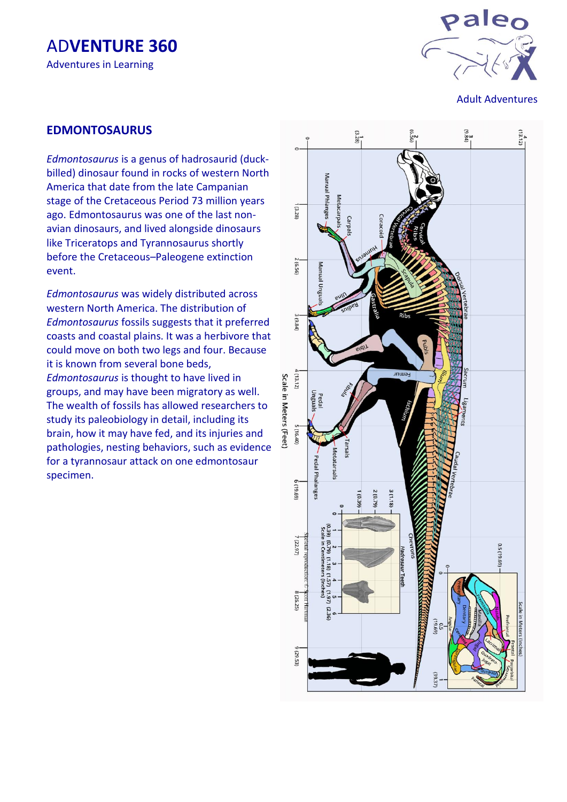



Adult Adventures

#### **EDMONTOSAURUS**

*Edmontosaurus* is a genus of hadrosaurid (duckbilled) dinosaur found in rocks of western North America that date from the late Campanian stage of the Cretaceous Period 73 million years ago. Edmontosaurus was one of the last nonavian dinosaurs, and lived alongside dinosaurs like Triceratops and Tyrannosaurus shortly before the Cretaceous–Paleogene extinction event.

*Edmontosaurus* was widely distributed across western North America. The distribution of *Edmontosaurus* fossils suggests that it preferred coasts and coastal plains. It was a herbivore that could move on both two legs and four. Because it is known from several bone beds, *Edmontosaurus* is thought to have lived in groups, and may have been migratory as well. The wealth of fossils has allowed researchers to study its paleobiology in detail, including its brain, how it may have fed, and its injuries and pathologies, nesting behaviors, such as evidence for a tyrannosaur attack on one edmontosaur specimen.